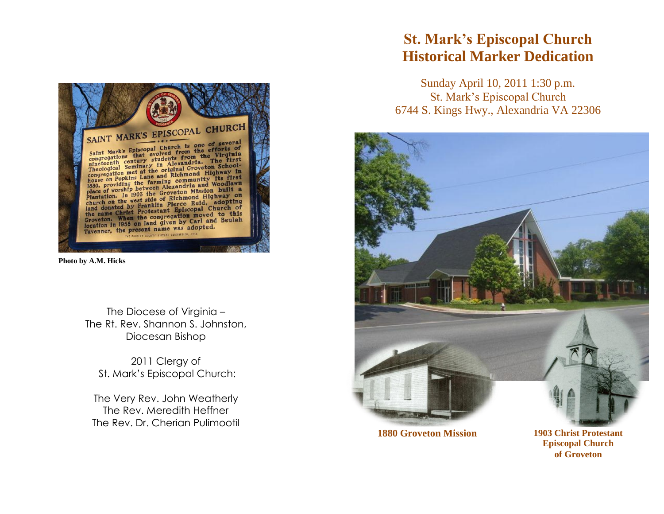

**Photo by A.M. Hicks**

The Diocese of Virginia – The Rt. Rev. Shannon S. Johnston, Diocesan Bishop

2011 Clergy of St. Mark's Episcopal Church:

The Very Rev. John Weatherly The Rev. Meredith Heffner The Rev. Dr. Cherian Pulimootil

## **St. Mark's Episcopal Church Historical Marker Dedication**

Sunday April 10, 2011 1:30 p.m. St. Mark's Episcopal Church 6744 S. Kings Hwy., Alexandria VA 22306



**Episcopal Church of Groveton**